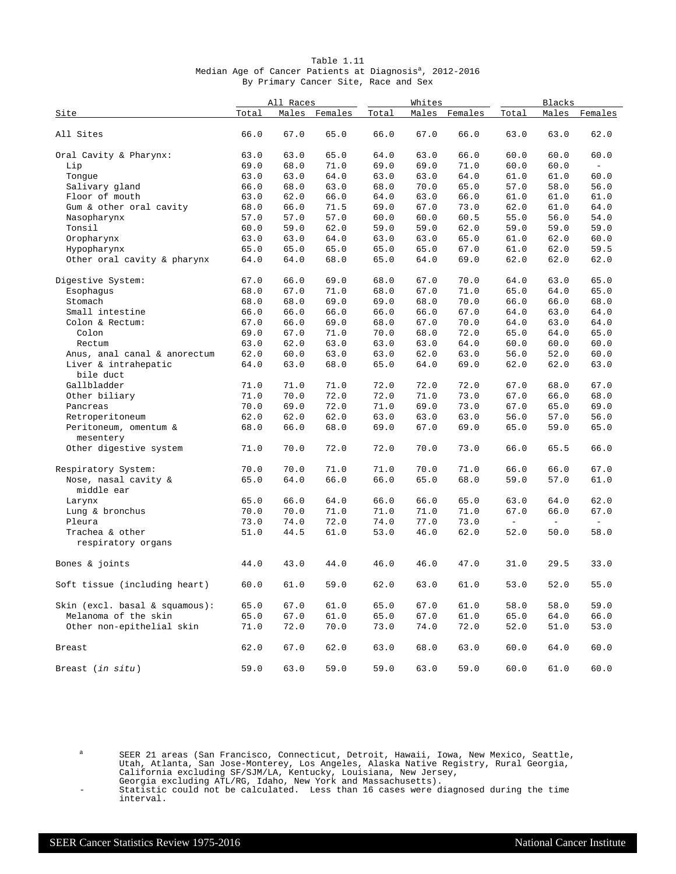| Table 1.11                                                          |  |  |                                      |  |  |  |  |  |  |  |  |
|---------------------------------------------------------------------|--|--|--------------------------------------|--|--|--|--|--|--|--|--|
| Median Age of Cancer Patients at Diagnosis <sup>a</sup> , 2012-2016 |  |  |                                      |  |  |  |  |  |  |  |  |
|                                                                     |  |  | By Primary Cancer Site, Race and Sex |  |  |  |  |  |  |  |  |

|                                       | All Races |      |               | Whites |      | Blacks        |        |                          |                          |
|---------------------------------------|-----------|------|---------------|--------|------|---------------|--------|--------------------------|--------------------------|
| Site                                  | Total     |      | Males Females | Total  |      | Males Females | Total  |                          | Males Females            |
| All Sites                             | 66.0      | 67.0 | 65.0          | 66.0   | 67.0 | 66.0          | 63.0   | 63.0                     | 62.0                     |
| Oral Cavity & Pharynx:                | 63.0      | 63.0 | 65.0          | 64.0   | 63.0 | 66.0          | 60.0   | 60.0                     | 60.0                     |
| Lip                                   | 69.0      | 68.0 | 71.0          | 69.0   | 69.0 | 71.0          | 60.0   | 60.0                     | $\overline{\phantom{a}}$ |
| Tonque                                | 63.0      | 63.0 | 64.0          | 63.0   | 63.0 | 64.0          | 61.0   | 61.0                     | 60.0                     |
| Salivary gland                        | 66.0      | 68.0 | 63.0          | 68.0   | 70.0 | 65.0          | 57.0   | 58.0                     | 56.0                     |
| Floor of mouth                        | 63.0      | 62.0 | 66.0          | 64.0   | 63.0 | 66.0          | 61.0   | 61.0                     | 61.0                     |
| Gum & other oral cavity               | 68.0      | 66.0 | 71.5          | 69.0   | 67.0 | 73.0          | 62.0   | 61.0                     | 64.0                     |
| Nasopharynx                           | 57.0      | 57.0 | 57.0          | 60.0   | 60.0 | 60.5          | 55.0   | 56.0                     | 54.0                     |
| Tonsil                                | 60.0      | 59.0 | 62.0          | 59.0   | 59.0 | 62.0          | 59.0   | 59.0                     | 59.0                     |
| Oropharynx                            | 63.0      | 63.0 | 64.0          | 63.0   | 63.0 | 65.0          | 61.0   | 62.0                     | 60.0                     |
| Hypopharynx                           | 65.0      | 65.0 | 65.0          | 65.0   | 65.0 | 67.0          | 61.0   | 62.0                     | 59.5                     |
| Other oral cavity & pharynx           | 64.0      | 64.0 | 68.0          | 65.0   | 64.0 | 69.0          | 62.0   | 62.0                     | 62.0                     |
| Digestive System:                     | 67.0      | 66.0 | 69.0          | 68.0   | 67.0 | 70.0          | 64.0   | 63.0                     | 65.0                     |
| Esophagus                             | 68.0      | 67.0 | 71.0          | 68.0   | 67.0 | 71.0          | 65.0   | 64.0                     | 65.0                     |
| Stomach                               | 68.0      | 68.0 | 69.0          | 69.0   | 68.0 | 70.0          | 66.0   | 66.0                     | 68.0                     |
| Small intestine                       | 66.0      | 66.0 | 66.0          | 66.0   | 66.0 | 67.0          | 64.0   | 63.0                     | 64.0                     |
| Colon & Rectum:                       | 67.0      | 66.0 | 69.0          | 68.0   | 67.0 | 70.0          | 64.0   | 63.0                     | 64.0                     |
| Colon                                 | 69.0      | 67.0 | 71.0          | 70.0   | 68.0 | 72.0          | 65.0   | 64.0                     | 65.0                     |
| Rectum                                | 63.0      | 62.0 | 63.0          | 63.0   | 63.0 | 64.0          | 60.0   | 60.0                     | 60.0                     |
| Anus, anal canal & anorectum          | 62.0      | 60.0 | 63.0          | 63.0   | 62.0 | 63.0          | 56.0   | 52.0                     | 60.0                     |
| Liver & intrahepatic<br>bile duct     | 64.0      | 63.0 | 68.0          | 65.0   | 64.0 | 69.0          | 62.0   | 62.0                     | 63.0                     |
| Gallbladder                           | 71.0      | 71.0 | 71.0          | 72.0   | 72.0 | 72.0          | 67.0   | 68.0                     | 67.0                     |
| Other biliary                         | 71.0      | 70.0 | 72.0          | 72.0   | 71.0 | 73.0          | 67.0   | 66.0                     | 68.0                     |
| Pancreas                              | 70.0      | 69.0 | 72.0          | 71.0   | 69.0 | 73.0          | 67.0   | 65.0                     | 69.0                     |
| Retroperitoneum                       | 62.0      | 62.0 | 62.0          | 63.0   | 63.0 | 63.0          | 56.0   | 57.0                     | 56.0                     |
| Peritoneum, omentum &<br>mesentery    | 68.0      | 66.0 | 68.0          | 69.0   | 67.0 | 69.0          | 65.0   | 59.0                     | 65.0                     |
| Other digestive system                | 71.0      | 70.0 | 72.0          | 72.0   | 70.0 | 73.0          | 66.0   | 65.5                     | 66.0                     |
| Respiratory System:                   | 70.0      | 70.0 | 71.0          | 71.0   | 70.0 | 71.0          | 66.0   | 66.0                     | 67.0                     |
| Nose, nasal cavity &<br>middle ear    | 65.0      | 64.0 | 66.0          | 66.0   | 65.0 | 68.0          | 59.0   | 57.0                     | 61.0                     |
| Larynx                                | 65.0      | 66.0 | 64.0          | 66.0   | 66.0 | 65.0          | 63.0   | 64.0                     | 62.0                     |
| Lung & bronchus                       | 70.0      | 70.0 | 71.0          | 71.0   | 71.0 | 71.0          | 67.0   | 66.0                     | 67.0                     |
| Pleura                                | 73.0      | 74.0 | 72.0          | 74.0   | 77.0 | 73.0          | $\sim$ | $\overline{\phantom{a}}$ | $\equiv$                 |
| Trachea & other<br>respiratory organs | 51.0      | 44.5 | 61.0          | 53.0   | 46.0 | 62.0          | 52.0   | 50.0                     | 58.0                     |
| Bones & joints                        | 44.0      | 43.0 | 44.0          | 46.0   | 46.0 | 47.0          | 31.0   | 29.5                     | 33.0                     |
| Soft tissue (including heart)         | 60.0      | 61.0 | 59.0          | 62.0   | 63.0 | 61.0          | 53.0   | 52.0                     | 55.0                     |
| Skin (excl. basal & squamous):        | 65.0      | 67.0 | 61.0          | 65.0   | 67.0 | 61.0          | 58.0   | 58.0                     | 59.0                     |
| Melanoma of the skin                  | 65.0      | 67.0 | 61.0          | 65.0   | 67.0 | 61.0          | 65.0   | 64.0                     | 66.0                     |
| Other non-epithelial skin             | 71.0      | 72.0 | 70.0          | 73.0   | 74.0 | 72.0          | 52.0   | 51.0                     | 53.0                     |
|                                       |           |      |               |        |      |               |        |                          |                          |
| Breast                                | 62.0      | 67.0 | 62.0          | 63.0   | 68.0 | 63.0          | 60.0   | 64.0                     | 60.0                     |
| Breast (in situ)                      | 59.0      | 63.0 | 59.0          | 59.0   | 63.0 | 59.0          | 60.0   | 61.0                     | 60.0                     |

a SEER 21 areas (San Francisco, Connecticut, Detroit, Hawaii, Iowa, New Mexico, Seattle, Utah, Atlanta, San Jose-Monterey, Los Angeles, Alaska Native Registry, Rural Georgia, California excluding SF/SJM/LA, Kentucky, Louisiana, New Jersey,

Georgia excluding ATL/RG, Idaho, New York and Massachusetts).

<sup>-</sup> Statistic could not be calculated. Less than 16 cases were diagnosed during the time interval.